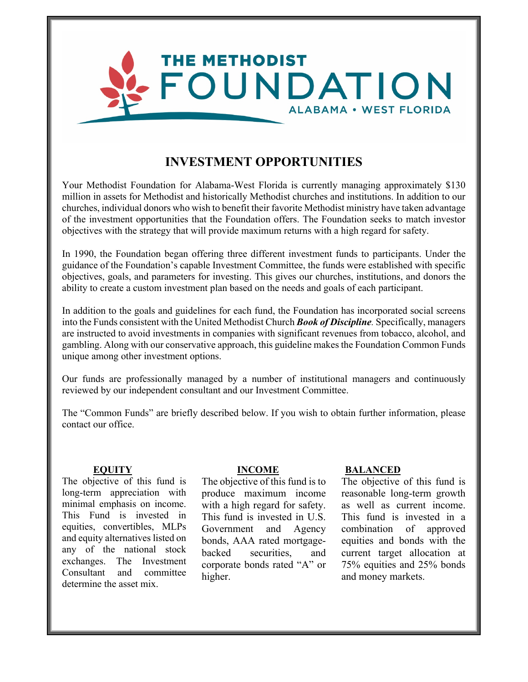

# **INVESTMENT OPPORTUNITIES**

Your Methodist Foundation for Alabama-West Florida is currently managing approximately \$130 million in assets for Methodist and historically Methodist churches and institutions. In addition to our churches, individual donors who wish to benefit their favorite Methodist ministry have taken advantage of the investment opportunities that the Foundation offers. The Foundation seeks to match investor objectives with the strategy that will provide maximum returns with a high regard for safety.

In 1990, the Foundation began offering three different investment funds to participants. Under the guidance of the Foundation's capable Investment Committee, the funds were established with specific objectives, goals, and parameters for investing. This gives our churches, institutions, and donors the ability to create a custom investment plan based on the needs and goals of each participant.

In addition to the goals and guidelines for each fund, the Foundation has incorporated social screens into the Funds consistent with the United Methodist Church *Book of Discipline.* Specifically, managers are instructed to avoid investments in companies with significant revenues from tobacco, alcohol, and gambling. Along with our conservative approach, this guideline makes the Foundation Common Funds unique among other investment options.

Our funds are professionally managed by a number of institutional managers and continuously reviewed by our independent consultant and our Investment Committee.

The "Common Funds" are briefly described below. If you wish to obtain further information, please contact our office.

The objective of this fund is long-term appreciation with minimal emphasis on income. This Fund is invested in equities, convertibles, MLPs and equity alternatives listed on any of the national stock exchanges. The Investment Consultant and committee determine the asset mix.

The objective of this fund is to produce maximum income with a high regard for safety. This fund is invested in U.S. Government and Agency bonds, AAA rated mortgagebacked securities, and corporate bonds rated "A" or higher.

### **EQUITY INCOME BALANCED**

The objective of this fund is reasonable long-term growth as well as current income. This fund is invested in a combination of approved equities and bonds with the current target allocation at 75% equities and 25% bonds and money markets.